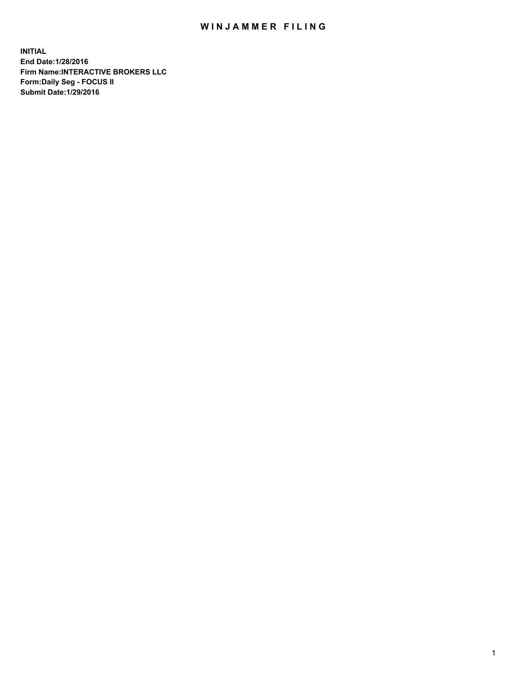## WIN JAMMER FILING

**INITIAL End Date:1/28/2016 Firm Name:INTERACTIVE BROKERS LLC Form:Daily Seg - FOCUS II Submit Date:1/29/2016**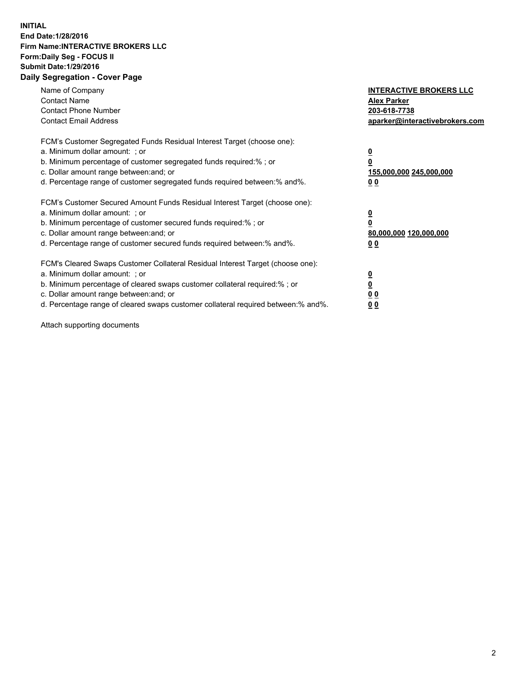## **INITIAL End Date:1/28/2016 Firm Name:INTERACTIVE BROKERS LLC Form:Daily Seg - FOCUS II Submit Date:1/29/2016 Daily Segregation - Cover Page**

| Name of Company<br><b>Contact Name</b><br><b>Contact Phone Number</b><br><b>Contact Email Address</b>                                                                                                                                                                                                                         | <b>INTERACTIVE BROKERS LLC</b><br><b>Alex Parker</b><br>203-618-7738<br>aparker@interactivebrokers.com |
|-------------------------------------------------------------------------------------------------------------------------------------------------------------------------------------------------------------------------------------------------------------------------------------------------------------------------------|--------------------------------------------------------------------------------------------------------|
| FCM's Customer Segregated Funds Residual Interest Target (choose one):<br>a. Minimum dollar amount: ; or<br>b. Minimum percentage of customer segregated funds required:% ; or<br>c. Dollar amount range between: and; or<br>d. Percentage range of customer segregated funds required between:% and%.                        | <u>0</u><br>155,000,000 245,000,000<br>0 <sub>0</sub>                                                  |
| FCM's Customer Secured Amount Funds Residual Interest Target (choose one):<br>a. Minimum dollar amount: ; or<br>b. Minimum percentage of customer secured funds required:%; or<br>c. Dollar amount range between: and; or<br>d. Percentage range of customer secured funds required between: % and %.                         | <u>0</u><br>80,000,000 120,000,000<br><u>00</u>                                                        |
| FCM's Cleared Swaps Customer Collateral Residual Interest Target (choose one):<br>a. Minimum dollar amount: ; or<br>b. Minimum percentage of cleared swaps customer collateral required:%; or<br>c. Dollar amount range between: and; or<br>d. Percentage range of cleared swaps customer collateral required between:% and%. | <u>0</u><br>0 <sub>0</sub><br>0 <sub>0</sub>                                                           |

Attach supporting documents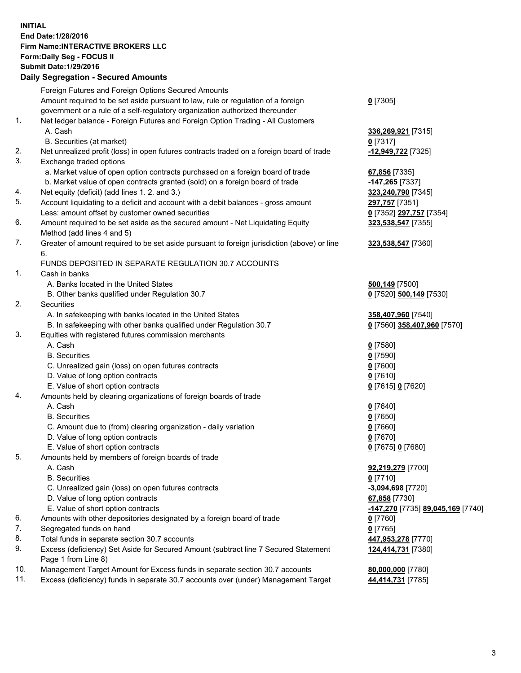## **INITIAL End Date:1/28/2016 Firm Name:INTERACTIVE BROKERS LLC Form:Daily Seg - FOCUS II Submit Date:1/29/2016 Daily Segregation - Secured Amounts**

|                | Dany Oogregation - Oecarea Amounts                                                                         |                                   |
|----------------|------------------------------------------------------------------------------------------------------------|-----------------------------------|
|                | Foreign Futures and Foreign Options Secured Amounts                                                        |                                   |
|                | Amount required to be set aside pursuant to law, rule or regulation of a foreign                           | $0$ [7305]                        |
|                | government or a rule of a self-regulatory organization authorized thereunder                               |                                   |
| 1.             | Net ledger balance - Foreign Futures and Foreign Option Trading - All Customers                            |                                   |
|                | A. Cash                                                                                                    | 336,269,921 [7315]                |
|                | B. Securities (at market)                                                                                  | $0$ [7317]                        |
| 2.             | Net unrealized profit (loss) in open futures contracts traded on a foreign board of trade                  | -12,949,722 [7325]                |
| 3.             | Exchange traded options                                                                                    |                                   |
|                | a. Market value of open option contracts purchased on a foreign board of trade                             | 67,856 [7335]                     |
|                | b. Market value of open contracts granted (sold) on a foreign board of trade                               | $-147,265$ [7337]                 |
| 4.             | Net equity (deficit) (add lines 1.2. and 3.)                                                               | 323,240,790 [7345]                |
| 5.             | Account liquidating to a deficit and account with a debit balances - gross amount                          | 297,757 [7351]                    |
|                | Less: amount offset by customer owned securities                                                           | 0 [7352] 297,757 [7354]           |
| 6.             | Amount required to be set aside as the secured amount - Net Liquidating Equity                             | 323,538,547 [7355]                |
|                | Method (add lines 4 and 5)                                                                                 |                                   |
| 7.             | Greater of amount required to be set aside pursuant to foreign jurisdiction (above) or line                | 323,538,547 [7360]                |
|                | 6.                                                                                                         |                                   |
|                | FUNDS DEPOSITED IN SEPARATE REGULATION 30.7 ACCOUNTS                                                       |                                   |
| $\mathbf{1}$ . | Cash in banks                                                                                              |                                   |
|                | A. Banks located in the United States                                                                      | <b>500,149</b> [7500]             |
|                | B. Other banks qualified under Regulation 30.7                                                             | 0 [7520] 500,149 [7530]           |
| 2.             | Securities                                                                                                 |                                   |
|                | A. In safekeeping with banks located in the United States                                                  | 358,407,960 [7540]                |
|                | B. In safekeeping with other banks qualified under Regulation 30.7                                         | 0 [7560] 358,407,960 [7570]       |
| 3.             | Equities with registered futures commission merchants                                                      |                                   |
|                | A. Cash                                                                                                    | $0$ [7580]                        |
|                | <b>B.</b> Securities                                                                                       | $0$ [7590]                        |
|                | C. Unrealized gain (loss) on open futures contracts                                                        | $0$ [7600]                        |
|                | D. Value of long option contracts                                                                          | $0$ [7610]                        |
|                | E. Value of short option contracts                                                                         | 0 [7615] 0 [7620]                 |
| 4.             | Amounts held by clearing organizations of foreign boards of trade                                          |                                   |
|                | A. Cash                                                                                                    | $0$ [7640]                        |
|                | <b>B.</b> Securities                                                                                       | $0$ [7650]                        |
|                | C. Amount due to (from) clearing organization - daily variation                                            | $0$ [7660]                        |
|                | D. Value of long option contracts                                                                          | $0$ [7670]                        |
| 5.             | E. Value of short option contracts                                                                         | 0 [7675] 0 [7680]                 |
|                | Amounts held by members of foreign boards of trade                                                         |                                   |
|                | A. Cash<br><b>B.</b> Securities                                                                            | 92,219,279 [7700]                 |
|                | C. Unrealized gain (loss) on open futures contracts                                                        | $0$ [7710]<br>-3,094,698 [7720]   |
|                | D. Value of long option contracts                                                                          |                                   |
|                |                                                                                                            | 67,858 [7730]                     |
| 6.             | E. Value of short option contracts                                                                         | -147,270 [7735] 89,045,169 [7740] |
| 7.             | Amounts with other depositories designated by a foreign board of trade                                     | $0$ [7760]                        |
| 8.             | Segregated funds on hand                                                                                   | $0$ [7765]                        |
| 9.             | Total funds in separate section 30.7 accounts                                                              | 447,953,278 [7770]                |
|                | Excess (deficiency) Set Aside for Secured Amount (subtract line 7 Secured Statement<br>Page 1 from Line 8) | 124,414,731 [7380]                |
| 10.            | Management Target Amount for Excess funds in separate section 30.7 accounts                                | 80,000,000 [7780]                 |
| 11.            | Excess (deficiency) funds in separate 30.7 accounts over (under) Management Target                         | 44,414,731 [7785]                 |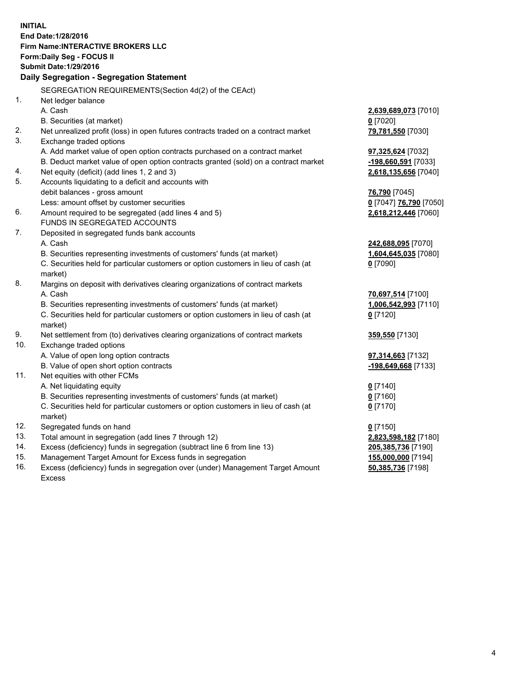**INITIAL End Date:1/28/2016 Firm Name:INTERACTIVE BROKERS LLC Form:Daily Seg - FOCUS II Submit Date:1/29/2016 Daily Segregation - Segregation Statement** SEGREGATION REQUIREMENTS(Section 4d(2) of the CEAct) 1. Net ledger balance A. Cash **2,639,689,073** [7010] B. Securities (at market) **0** [7020] 2. Net unrealized profit (loss) in open futures contracts traded on a contract market **79,781,550** [7030] 3. Exchange traded options A. Add market value of open option contracts purchased on a contract market **97,325,624** [7032] B. Deduct market value of open option contracts granted (sold) on a contract market **-198,660,591** [7033] 4. Net equity (deficit) (add lines 1, 2 and 3) **2,618,135,656** [7040] 5. Accounts liquidating to a deficit and accounts with debit balances - gross amount **76,790** [7045] Less: amount offset by customer securities **0** [7047] **76,790** [7050] 6. Amount required to be segregated (add lines 4 and 5) **2,618,212,446** [7060] FUNDS IN SEGREGATED ACCOUNTS 7. Deposited in segregated funds bank accounts A. Cash **242,688,095** [7070] B. Securities representing investments of customers' funds (at market) **1,604,645,035** [7080] C. Securities held for particular customers or option customers in lieu of cash (at market) **0** [7090] 8. Margins on deposit with derivatives clearing organizations of contract markets A. Cash **70,697,514** [7100] B. Securities representing investments of customers' funds (at market) **1,006,542,993** [7110] C. Securities held for particular customers or option customers in lieu of cash (at market) **0** [7120] 9. Net settlement from (to) derivatives clearing organizations of contract markets **359,550** [7130] 10. Exchange traded options A. Value of open long option contracts **97,314,663** [7132] B. Value of open short option contracts **-198,649,668** [7133] 11. Net equities with other FCMs A. Net liquidating equity **0** [7140] B. Securities representing investments of customers' funds (at market) **0** [7160] C. Securities held for particular customers or option customers in lieu of cash (at market) **0** [7170] 12. Segregated funds on hand **0** [7150] 13. Total amount in segregation (add lines 7 through 12) **2,823,598,182** [7180] 14. Excess (deficiency) funds in segregation (subtract line 6 from line 13) **205,385,736** [7190] 15. Management Target Amount for Excess funds in segregation **155,000,000** [7194] **50,385,736** [7198]

16. Excess (deficiency) funds in segregation over (under) Management Target Amount Excess